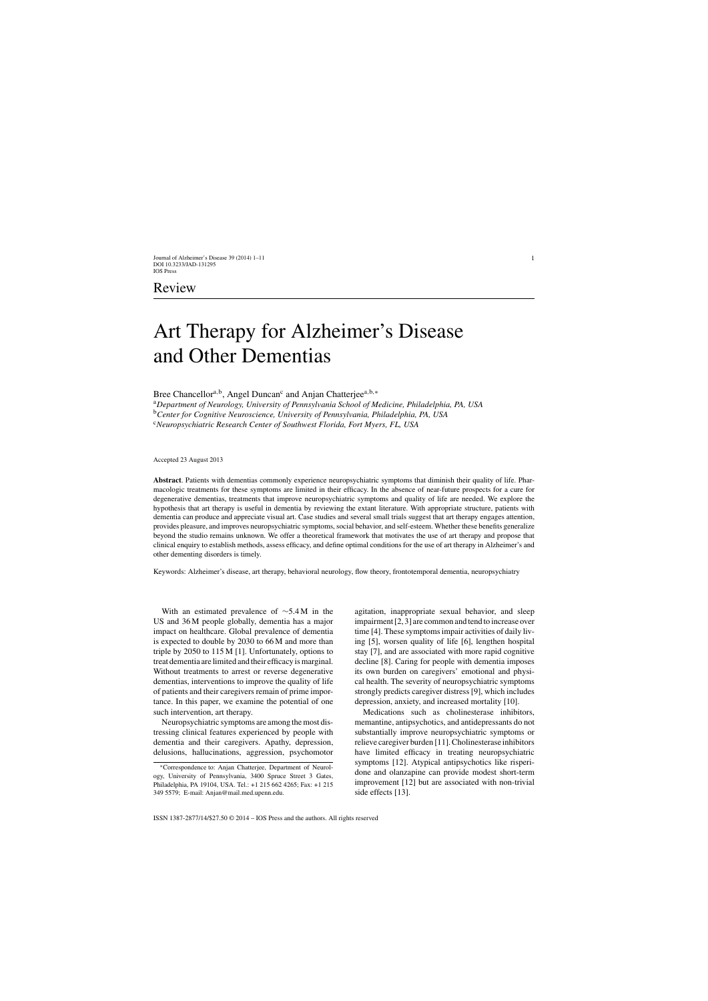# Art Therapy for Alzheimer's Disease and Other Dementias

Bree Chancellor<sup>a,b</sup>, Angel Duncan<sup>c</sup> and Anjan Chatterjee<sup>a,b,∗</sup>

<sup>a</sup>*Department of Neurology, University of Pennsylvania School of Medicine, Philadelphia, PA, USA* <sup>b</sup>*Center for Cognitive Neuroscience, University of Pennsylvania, Philadelphia, PA, USA*

<sup>c</sup>*Neuropsychiatric Research Center of Southwest Florida, Fort Myers, FL, USA*

Accepted 23 August 2013

**Abstract**. Patients with dementias commonly experience neuropsychiatric symptoms that diminish their quality of life. Pharmacologic treatments for these symptoms are limited in their efficacy. In the absence of near-future prospects for a cure for degenerative dementias, treatments that improve neuropsychiatric symptoms and quality of life are needed. We explore the hypothesis that art therapy is useful in dementia by reviewing the extant literature. With appropriate structure, patients with dementia can produce and appreciate visual art. Case studies and several small trials suggest that art therapy engages attention, provides pleasure, and improves neuropsychiatric symptoms, social behavior, and self-esteem. Whether these benefits generalize beyond the studio remains unknown. We offer a theoretical framework that motivates the use of art therapy and propose that clinical enquiry to establish methods, assess efficacy, and define optimal conditions for the use of art therapy in Alzheimer's and other dementing disorders is timely.

Keywords: Alzheimer's disease, art therapy, behavioral neurology, flow theory, frontotemporal dementia, neuropsychiatry

With an estimated prevalence of ∼5.4 M in the US and 36 M people globally, dementia has a major impact on healthcare. Global prevalence of dementia is expected to double by 2030 to 66 M and more than triple by 2050 to 115 M [1]. Unfortunately, options to treat dementia are limited and their efficacy is marginal. Without treatments to arrest or reverse degenerative dementias, interventions to improve the quality of life of patients and their caregivers remain of prime importance. In this paper, we examine the potential of one such intervention, art therapy.

Neuropsychiatric symptoms are among the most distressing clinical features experienced by people with dementia and their caregivers. Apathy, depression, delusions, hallucinations, aggression, psychomotor agitation, inappropriate sexual behavior, and sleep impairment [2, 3] are common and tend to increase over time [4]. These symptoms impair activities of daily living [5], worsen quality of life [6], lengthen hospital stay [7], and are associated with more rapid cognitive decline [8]. Caring for people with dementia imposes its own burden on caregivers' emotional and physical health. The severity of neuropsychiatric symptoms strongly predicts caregiver distress [9], which includes depression, anxiety, and increased mortality [10].

Medications such as cholinesterase inhibitors, memantine, antipsychotics, and antidepressants do not substantially improve neuropsychiatric symptoms or relieve caregiver burden [11]. Cholinesterase inhibitors have limited efficacy in treating neuropsychiatric symptoms [12]. Atypical antipsychotics like risperidone and olanzapine can provide modest short-term improvement [12] but are associated with non-trivial side effects [13].

<sup>∗</sup>Correspondence to: Anjan Chatterjee, Department of Neurology, University of Pennsylvania, 3400 Spruce Street 3 Gates, Philadelphia, PA 19104, USA. Tel.: +1 215 662 4265; Fax: +1 215 349 5579; E-mail: [Anjan@mail.med.upenn.edu](mailto:Anjan@mail.med.upenn.edu).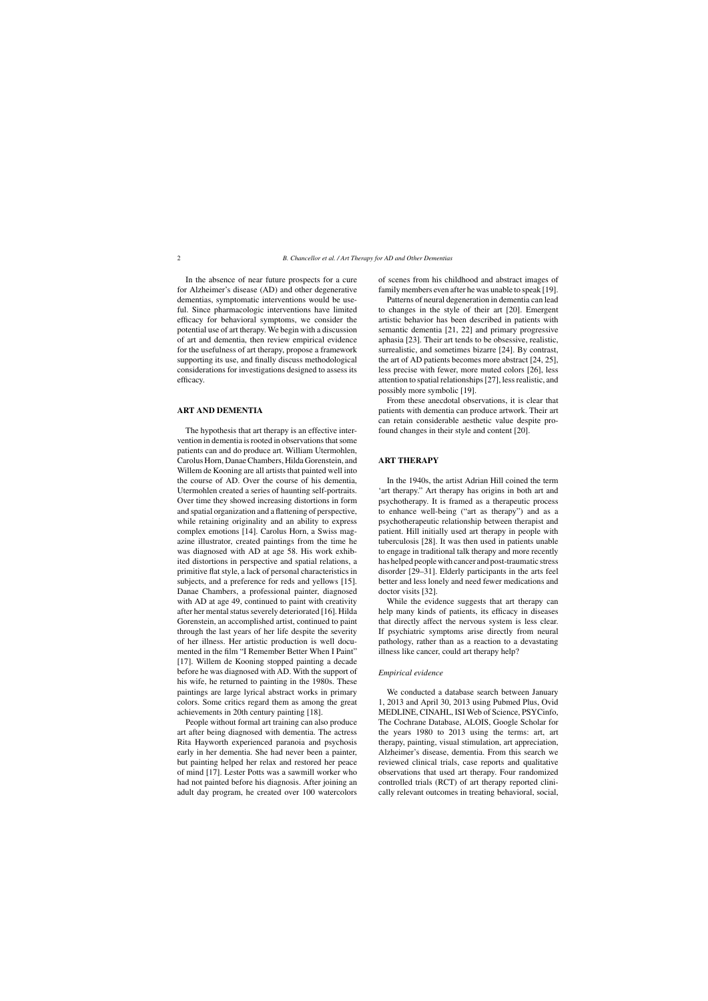In the absence of near future prospects for a cure for Alzheimer's disease (AD) and other degenerative dementias, symptomatic interventions would be useful. Since pharmacologic interventions have limited efficacy for behavioral symptoms, we consider the potential use of art therapy. We begin with a discussion of art and dementia, then review empirical evidence for the usefulness of art therapy, propose a framework supporting its use, and finally discuss methodological considerations for investigations designed to assess its efficacy.

## **ART AND DEMENTIA**

The hypothesis that art therapy is an effective intervention in dementia is rooted in observations that some patients can and do produce art. William Utermohlen, Carolus Horn, Danae Chambers, Hilda Gorenstein, and Willem de Kooning are all artists that painted well into the course of AD. Over the course of his dementia, Utermohlen created a series of haunting self-portraits. Over time they showed increasing distortions in form and spatial organization and a flattening of perspective, while retaining originality and an ability to express complex emotions [14]. Carolus Horn, a Swiss magazine illustrator, created paintings from the time he was diagnosed with AD at age 58. His work exhibited distortions in perspective and spatial relations, a primitive flat style, a lack of personal characteristics in subjects, and a preference for reds and yellows [15]. Danae Chambers, a professional painter, diagnosed with AD at age 49, continued to paint with creativity after her mental status severely deteriorated [16]. Hilda Gorenstein, an accomplished artist, continued to paint through the last years of her life despite the severity of her illness. Her artistic production is well documented in the film "I Remember Better When I Paint" [17]. Willem de Kooning stopped painting a decade before he was diagnosed with AD. With the support of his wife, he returned to painting in the 1980s. These paintings are large lyrical abstract works in primary colors. Some critics regard them as among the great achievements in 20th century painting [18].

People without formal art training can also produce art after being diagnosed with dementia. The actress Rita Hayworth experienced paranoia and psychosis early in her dementia. She had never been a painter, but painting helped her relax and restored her peace of mind [17]. Lester Potts was a sawmill worker who had not painted before his diagnosis. After joining an adult day program, he created over 100 watercolors of scenes from his childhood and abstract images of family members even after he was unable to speak [19].

Patterns of neural degeneration in dementia can lead to changes in the style of their art [20]. Emergent artistic behavior has been described in patients with semantic dementia [21, 22] and primary progressive aphasia [23]. Their art tends to be obsessive, realistic, surrealistic, and sometimes bizarre [24]. By contrast, the art of AD patients becomes more abstract [24, 25], less precise with fewer, more muted colors [26], less attention to spatial relationships [27], less realistic, and possibly more symbolic [19].

From these anecdotal observations, it is clear that patients with dementia can produce artwork. Their art can retain considerable aesthetic value despite profound changes in their style and content [20].

# **ART THERAPY**

In the 1940s, the artist Adrian Hill coined the term 'art therapy." Art therapy has origins in both art and psychotherapy. It is framed as a therapeutic process to enhance well-being ("art as therapy") and as a psychotherapeutic relationship between therapist and patient. Hill initially used art therapy in people with tuberculosis [28]. It was then used in patients unable to engage in traditional talk therapy and more recently has helped people with cancer and post-traumatic stress disorder [29–31]. Elderly participants in the arts feel better and less lonely and need fewer medications and doctor visits [32].

While the evidence suggests that art therapy can help many kinds of patients, its efficacy in diseases that directly affect the nervous system is less clear. If psychiatric symptoms arise directly from neural pathology, rather than as a reaction to a devastating illness like cancer, could art therapy help?

#### *Empirical evidence*

We conducted a database search between January 1, 2013 and April 30, 2013 using Pubmed Plus, Ovid MEDLINE, CINAHL, ISI Web of Science, PSYCinfo, The Cochrane Database, ALOIS, Google Scholar for the years 1980 to 2013 using the terms: art, art therapy, painting, visual stimulation, art appreciation, Alzheimer's disease, dementia. From this search we reviewed clinical trials, case reports and qualitative observations that used art therapy. Four randomized controlled trials (RCT) of art therapy reported clinically relevant outcomes in treating behavioral, social,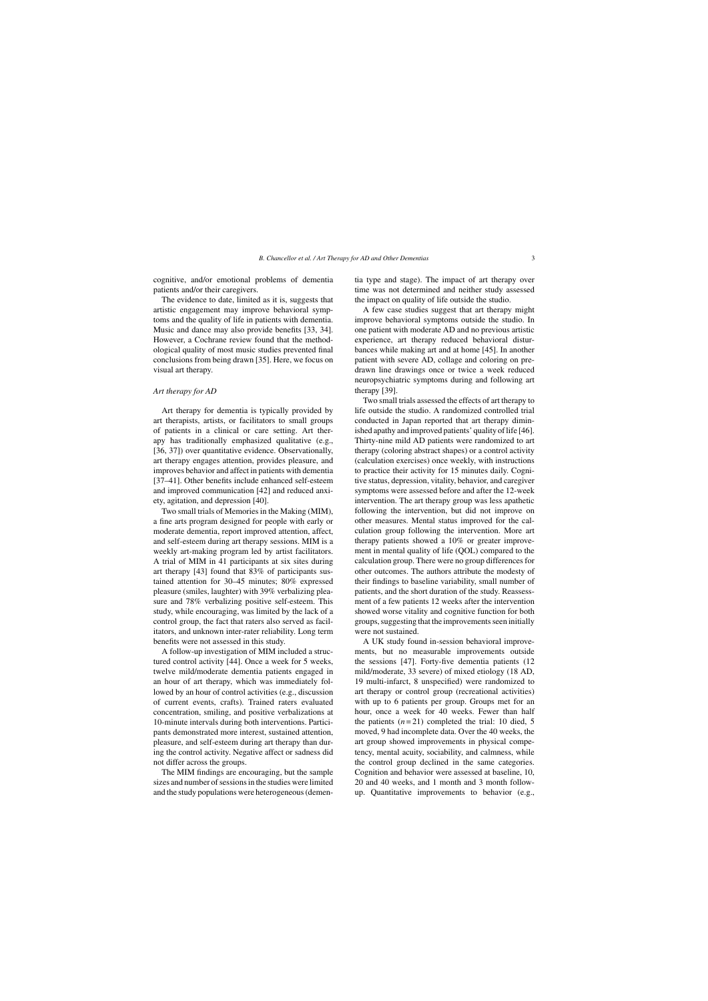cognitive, and/or emotional problems of dementia patients and/or their caregivers.

The evidence to date, limited as it is, suggests that artistic engagement may improve behavioral symptoms and the quality of life in patients with dementia. Music and dance may also provide benefits [33, 34]. However, a Cochrane review found that the methodological quality of most music studies prevented final conclusions from being drawn [35]. Here, we focus on visual art therapy.

#### *Art therapy for AD*

Art therapy for dementia is typically provided by art therapists, artists, or facilitators to small groups of patients in a clinical or care setting. Art therapy has traditionally emphasized qualitative (e.g., [36, 37]) over quantitative evidence. Observationally, art therapy engages attention, provides pleasure, and improves behavior and affect in patients with dementia [37–41]. Other benefits include enhanced self-esteem and improved communication [42] and reduced anxiety, agitation, and depression [40].

Two small trials of Memories in the Making (MIM), a fine arts program designed for people with early or moderate dementia, report improved attention, affect, and self-esteem during art therapy sessions. MIM is a weekly art-making program led by artist facilitators. A trial of MIM in 41 participants at six sites during art therapy [43] found that 83% of participants sustained attention for 30–45 minutes; 80% expressed pleasure (smiles, laughter) with 39% verbalizing pleasure and 78% verbalizing positive self-esteem. This study, while encouraging, was limited by the lack of a control group, the fact that raters also served as facilitators, and unknown inter-rater reliability. Long term benefits were not assessed in this study.

A follow-up investigation of MIM included a structured control activity [44]. Once a week for 5 weeks, twelve mild/moderate dementia patients engaged in an hour of art therapy, which was immediately followed by an hour of control activities (e.g., discussion of current events, crafts). Trained raters evaluated concentration, smiling, and positive verbalizations at 10-minute intervals during both interventions. Participants demonstrated more interest, sustained attention, pleasure, and self-esteem during art therapy than during the control activity. Negative affect or sadness did not differ across the groups.

The MIM findings are encouraging, but the sample sizes and number of sessions in the studies were limited and the study populations were heterogeneous (dementia type and stage). The impact of art therapy over time was not determined and neither study assessed the impact on quality of life outside the studio.

A few case studies suggest that art therapy might improve behavioral symptoms outside the studio. In one patient with moderate AD and no previous artistic experience, art therapy reduced behavioral disturbances while making art and at home [45]. In another patient with severe AD, collage and coloring on predrawn line drawings once or twice a week reduced neuropsychiatric symptoms during and following art therapy [39].

Two small trials assessed the effects of art therapy to life outside the studio. A randomized controlled trial conducted in Japan reported that art therapy diminished apathy and improved patients' quality of life [46]. Thirty-nine mild AD patients were randomized to art therapy (coloring abstract shapes) or a control activity (calculation exercises) once weekly, with instructions to practice their activity for 15 minutes daily. Cognitive status, depression, vitality, behavior, and caregiver symptoms were assessed before and after the 12-week intervention. The art therapy group was less apathetic following the intervention, but did not improve on other measures. Mental status improved for the calculation group following the intervention. More art therapy patients showed a 10% or greater improvement in mental quality of life (QOL) compared to the calculation group. There were no group differences for other outcomes. The authors attribute the modesty of their findings to baseline variability, small number of patients, and the short duration of the study. Reassessment of a few patients 12 weeks after the intervention showed worse vitality and cognitive function for both groups, suggesting that the improvements seen initially were not sustained.

A UK study found in-session behavioral improvements, but no measurable improvements outside the sessions [47]. Forty-five dementia patients (12 mild/moderate, 33 severe) of mixed etiology (18 AD, 19 multi-infarct, 8 unspecified) were randomized to art therapy or control group (recreational activities) with up to 6 patients per group. Groups met for an hour, once a week for 40 weeks. Fewer than half the patients  $(n=21)$  completed the trial: 10 died, 5 moved, 9 had incomplete data. Over the 40 weeks, the art group showed improvements in physical competency, mental acuity, sociability, and calmness, while the control group declined in the same categories. Cognition and behavior were assessed at baseline, 10, 20 and 40 weeks, and 1 month and 3 month followup. Quantitative improvements to behavior (e.g.,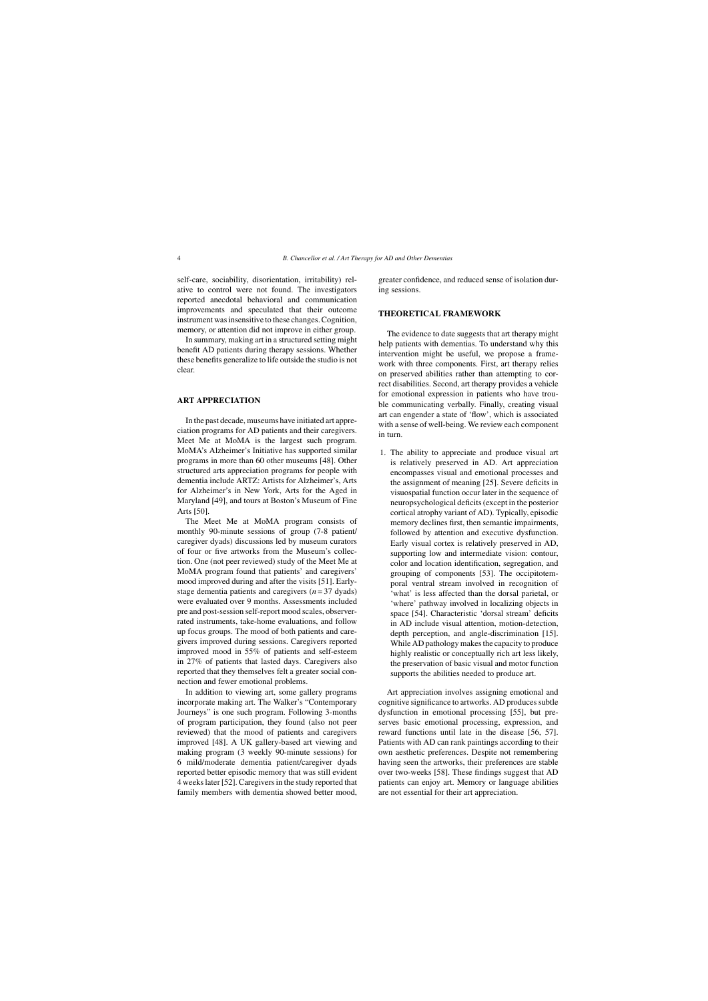self-care, sociability, disorientation, irritability) relative to control were not found. The investigators reported anecdotal behavioral and communication improvements and speculated that their outcome instrument was insensitive to these changes. Cognition, memory, or attention did not improve in either group.

In summary, making art in a structured setting might benefit AD patients during therapy sessions. Whether these benefits generalize to life outside the studio is not clear.

## **ART APPRECIATION**

In the past decade, museums have initiated art appreciation programs for AD patients and their caregivers. Meet Me at MoMA is the largest such program. MoMA's Alzheimer's Initiative has supported similar programs in more than 60 other museums [48]. Other structured arts appreciation programs for people with dementia include ARTZ: Artists for Alzheimer's, Arts for Alzheimer's in New York, Arts for the Aged in Maryland [49], and tours at Boston's Museum of Fine Arts [50].

The Meet Me at MoMA program consists of monthly 90-minute sessions of group (7-8 patient/ caregiver dyads) discussions led by museum curators of four or five artworks from the Museum's collection. One (not peer reviewed) study of the Meet Me at MoMA program found that patients' and caregivers' mood improved during and after the visits [51]. Earlystage dementia patients and caregivers  $(n = 37 \text{ dyads})$ were evaluated over 9 months. Assessments included pre and post-session self-report mood scales, observerrated instruments, take-home evaluations, and follow up focus groups. The mood of both patients and caregivers improved during sessions. Caregivers reported improved mood in 55% of patients and self-esteem in 27% of patients that lasted days. Caregivers also reported that they themselves felt a greater social connection and fewer emotional problems.

In addition to viewing art, some gallery programs incorporate making art. The Walker's "Contemporary Journeys" is one such program. Following 3-months of program participation, they found (also not peer reviewed) that the mood of patients and caregivers improved [48]. A UK gallery-based art viewing and making program (3 weekly 90-minute sessions) for 6 mild/moderate dementia patient/caregiver dyads reported better episodic memory that was still evident 4 weeks later [52]. Caregivers in the study reported that family members with dementia showed better mood,

greater confidence, and reduced sense of isolation during sessions.

### **THEORETICAL FRAMEWORK**

The evidence to date suggests that art therapy might help patients with dementias. To understand why this intervention might be useful, we propose a framework with three components. First, art therapy relies on preserved abilities rather than attempting to correct disabilities. Second, art therapy provides a vehicle for emotional expression in patients who have trouble communicating verbally. Finally, creating visual art can engender a state of 'flow', which is associated with a sense of well-being. We review each component in turn.

1. The ability to appreciate and produce visual art is relatively preserved in AD. Art appreciation encompasses visual and emotional processes and the assignment of meaning [25]. Severe deficits in visuospatial function occur later in the sequence of neuropsychological deficits (except in the posterior cortical atrophy variant of AD). Typically, episodic memory declines first, then semantic impairments, followed by attention and executive dysfunction. Early visual cortex is relatively preserved in AD, supporting low and intermediate vision: contour, color and location identification, segregation, and grouping of components [53]. The occipitotemporal ventral stream involved in recognition of 'what' is less affected than the dorsal parietal, or 'where' pathway involved in localizing objects in space [54]. Characteristic 'dorsal stream' deficits in AD include visual attention, motion-detection, depth perception, and angle-discrimination [15]. While AD pathology makes the capacity to produce highly realistic or conceptually rich art less likely, the preservation of basic visual and motor function supports the abilities needed to produce art.

Art appreciation involves assigning emotional and cognitive significance to artworks. AD produces subtle dysfunction in emotional processing [55], but preserves basic emotional processing, expression, and reward functions until late in the disease [56, 57]. Patients with AD can rank paintings according to their own aesthetic preferences. Despite not remembering having seen the artworks, their preferences are stable over two-weeks [58]. These findings suggest that AD patients can enjoy art. Memory or language abilities are not essential for their art appreciation.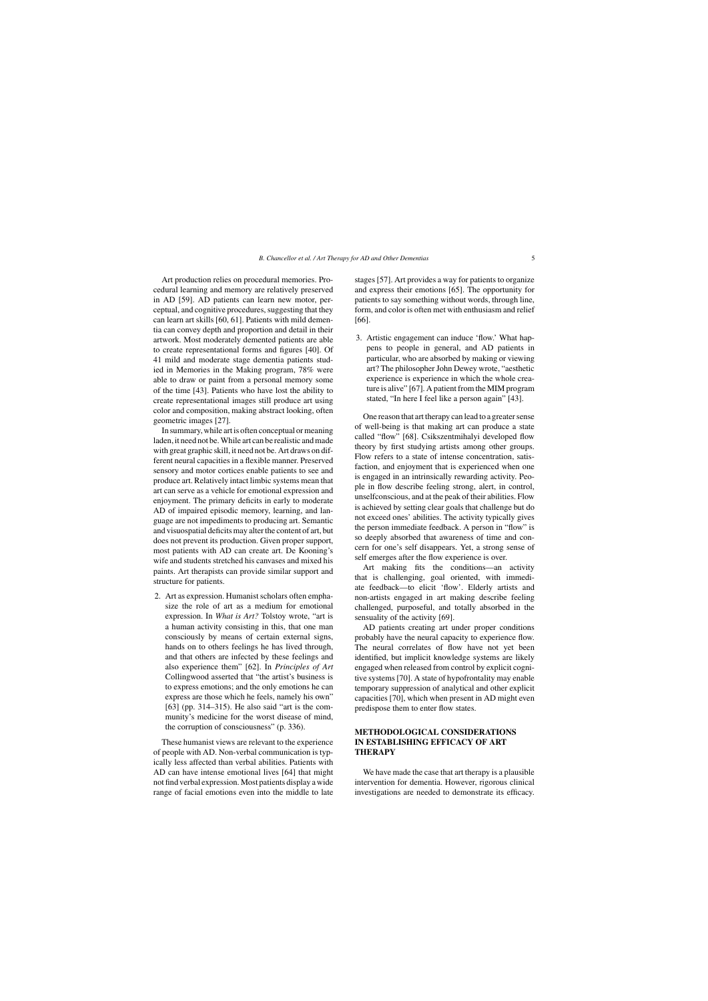Art production relies on procedural memories. Procedural learning and memory are relatively preserved in AD [59]. AD patients can learn new motor, perceptual, and cognitive procedures, suggesting that they can learn art skills [60, 61]. Patients with mild dementia can convey depth and proportion and detail in their artwork. Most moderately demented patients are able to create representational forms and figures [40]. Of 41 mild and moderate stage dementia patients studied in Memories in the Making program, 78% were able to draw or paint from a personal memory some of the time [43]. Patients who have lost the ability to create representational images still produce art using color and composition, making abstract looking, often geometric images [27].

In summary, while art is often conceptual or meaning laden, it need not be. While art can be realistic and made with great graphic skill, it need not be. Art draws on different neural capacities in a flexible manner. Preserved sensory and motor cortices enable patients to see and produce art. Relatively intact limbic systems mean that art can serve as a vehicle for emotional expression and enjoyment. The primary deficits in early to moderate AD of impaired episodic memory, learning, and language are not impediments to producing art. Semantic and visuospatial deficits may alter the content of art, but does not prevent its production. Given proper support, most patients with AD can create art. De Kooning's wife and students stretched his canvases and mixed his paints. Art therapists can provide similar support and structure for patients.

2. Art as expression. Humanist scholars often emphasize the role of art as a medium for emotional expression. In *What is Art?* Tolstoy wrote, "art is a human activity consisting in this, that one man consciously by means of certain external signs, hands on to others feelings he has lived through, and that others are infected by these feelings and also experience them" [62]. In *Principles of Art* Collingwood asserted that "the artist's business is to express emotions; and the only emotions he can express are those which he feels, namely his own" [63] (pp. 314–315). He also said "art is the community's medicine for the worst disease of mind, the corruption of consciousness" (p. 336).

These humanist views are relevant to the experience of people with AD. Non-verbal communication is typically less affected than verbal abilities. Patients with AD can have intense emotional lives [64] that might not find verbal expression. Most patients display a wide range of facial emotions even into the middle to late stages [57]. Art provides a way for patients to organize and express their emotions [65]. The opportunity for patients to say something without words, through line, form, and color is often met with enthusiasm and relief [66].

3. Artistic engagement can induce 'flow.' What happens to people in general, and AD patients in particular, who are absorbed by making or viewing art? The philosopher John Dewey wrote, "aesthetic experience is experience in which the whole creature is alive" [67]. A patient from the MIM program stated, "In here I feel like a person again" [43].

One reason that art therapy can lead to a greater sense of well-being is that making art can produce a state called "flow" [68]. Csikszentmihalyi developed flow theory by first studying artists among other groups. Flow refers to a state of intense concentration, satisfaction, and enjoyment that is experienced when one is engaged in an intrinsically rewarding activity. People in flow describe feeling strong, alert, in control, unselfconscious, and at the peak of their abilities. Flow is achieved by setting clear goals that challenge but do not exceed ones' abilities. The activity typically gives the person immediate feedback. A person in "flow" is so deeply absorbed that awareness of time and concern for one's self disappears. Yet, a strong sense of self emerges after the flow experience is over.

Art making fits the conditions—an activity that is challenging, goal oriented, with immediate feedback—to elicit 'flow'. Elderly artists and non-artists engaged in art making describe feeling challenged, purposeful, and totally absorbed in the sensuality of the activity [69].

AD patients creating art under proper conditions probably have the neural capacity to experience flow. The neural correlates of flow have not yet been identified, but implicit knowledge systems are likely engaged when released from control by explicit cognitive systems [70]. A state of hypofrontality may enable temporary suppression of analytical and other explicit capacities [70], which when present in AD might even predispose them to enter flow states.

# **METHODOLOGICAL CONSIDERATIONS IN ESTABLISHING EFFICACY OF ART THERAPY**

We have made the case that art therapy is a plausible intervention for dementia. However, rigorous clinical investigations are needed to demonstrate its efficacy.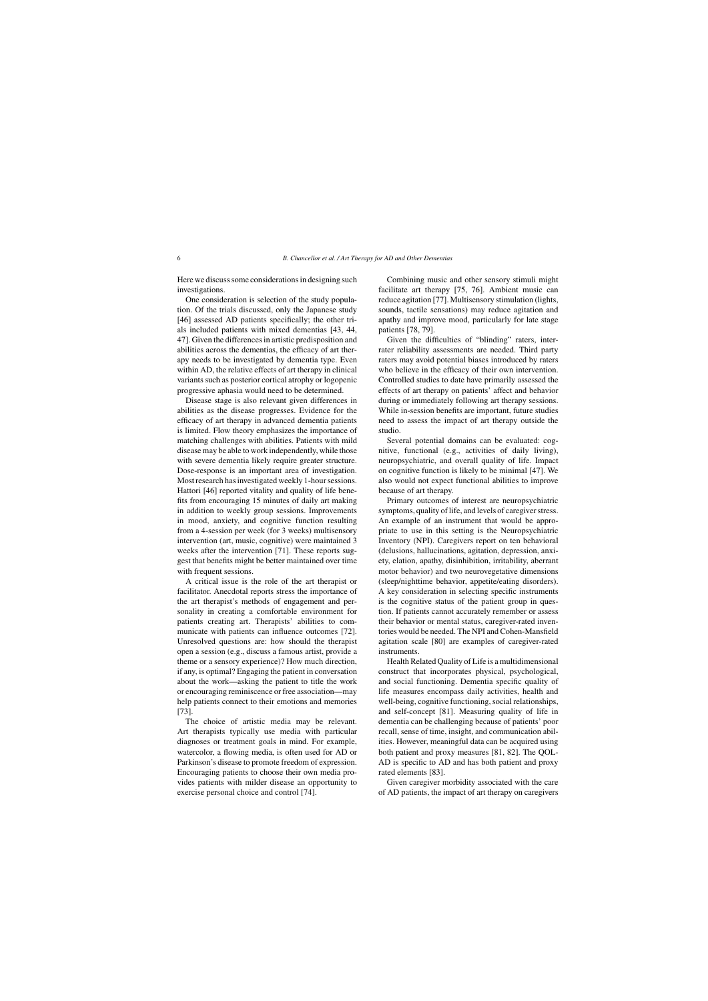Here we discuss some considerations in designing such investigations.

One consideration is selection of the study population. Of the trials discussed, only the Japanese study [46] assessed AD patients specifically; the other trials included patients with mixed dementias [43, 44, 47]. Given the differences in artistic predisposition and abilities across the dementias, the efficacy of art therapy needs to be investigated by dementia type. Even within AD, the relative effects of art therapy in clinical variants such as posterior cortical atrophy or logopenic progressive aphasia would need to be determined.

Disease stage is also relevant given differences in abilities as the disease progresses. Evidence for the efficacy of art therapy in advanced dementia patients is limited. Flow theory emphasizes the importance of matching challenges with abilities. Patients with mild disease may be able to work independently, while those with severe dementia likely require greater structure. Dose-response is an important area of investigation. Most research has investigated weekly 1-hour sessions. Hattori [46] reported vitality and quality of life benefits from encouraging 15 minutes of daily art making in addition to weekly group sessions. Improvements in mood, anxiety, and cognitive function resulting from a 4-session per week (for 3 weeks) multisensory intervention (art, music, cognitive) were maintained 3 weeks after the intervention [71]. These reports suggest that benefits might be better maintained over time with frequent sessions.

A critical issue is the role of the art therapist or facilitator. Anecdotal reports stress the importance of the art therapist's methods of engagement and personality in creating a comfortable environment for patients creating art. Therapists' abilities to communicate with patients can influence outcomes [72]. Unresolved questions are: how should the therapist open a session (e.g., discuss a famous artist, provide a theme or a sensory experience)? How much direction, if any, is optimal? Engaging the patient in conversation about the work—asking the patient to title the work or encouraging reminiscence or free association—may help patients connect to their emotions and memories [73].

The choice of artistic media may be relevant. Art therapists typically use media with particular diagnoses or treatment goals in mind. For example, watercolor, a flowing media, is often used for AD or Parkinson's disease to promote freedom of expression. Encouraging patients to choose their own media provides patients with milder disease an opportunity to exercise personal choice and control [74].

Combining music and other sensory stimuli might facilitate art therapy [75, 76]. Ambient music can reduce agitation [77]. Multisensory stimulation (lights, sounds, tactile sensations) may reduce agitation and apathy and improve mood, particularly for late stage patients [78, 79].

Given the difficulties of "blinding" raters, interrater reliability assessments are needed. Third party raters may avoid potential biases introduced by raters who believe in the efficacy of their own intervention. Controlled studies to date have primarily assessed the effects of art therapy on patients' affect and behavior during or immediately following art therapy sessions. While in-session benefits are important, future studies need to assess the impact of art therapy outside the studio.

Several potential domains can be evaluated: cognitive, functional (e.g., activities of daily living), neuropsychiatric, and overall quality of life. Impact on cognitive function is likely to be minimal [47]. We also would not expect functional abilities to improve because of art therapy.

Primary outcomes of interest are neuropsychiatric symptoms, quality of life, and levels of caregiver stress. An example of an instrument that would be appropriate to use in this setting is the Neuropsychiatric Inventory (NPI). Caregivers report on ten behavioral (delusions, hallucinations, agitation, depression, anxiety, elation, apathy, disinhibition, irritability, aberrant motor behavior) and two neurovegetative dimensions (sleep/nighttime behavior, appetite/eating disorders). A key consideration in selecting specific instruments is the cognitive status of the patient group in question. If patients cannot accurately remember or assess their behavior or mental status, caregiver-rated inventories would be needed. The NPI and Cohen-Mansfield agitation scale [80] are examples of caregiver-rated instruments.

Health Related Quality of Life is a multidimensional construct that incorporates physical, psychological, and social functioning. Dementia specific quality of life measures encompass daily activities, health and well-being, cognitive functioning, social relationships, and self-concept [81]. Measuring quality of life in dementia can be challenging because of patients' poor recall, sense of time, insight, and communication abilities. However, meaningful data can be acquired using both patient and proxy measures [81, 82]. The QOL-AD is specific to AD and has both patient and proxy rated elements [83].

Given caregiver morbidity associated with the care of AD patients, the impact of art therapy on caregivers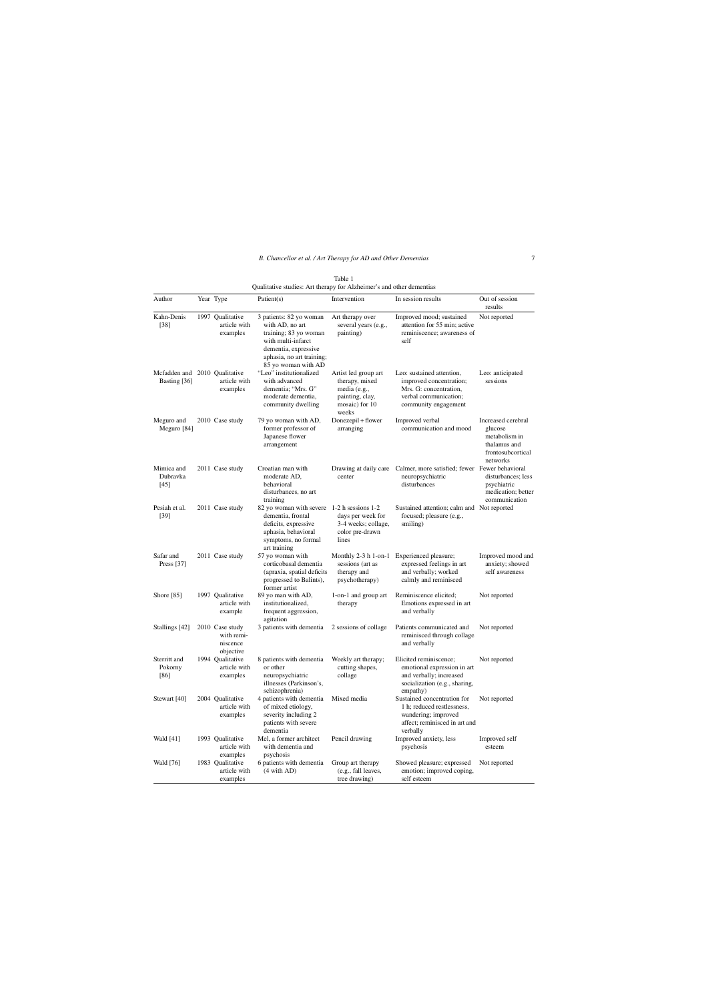| Author                                        | Year Type                                              | Patient $(s)$                                                                                                                                         | Intervention                                                                                         | In session results                                                                                                              | Out of session<br>results                                                                       |
|-----------------------------------------------|--------------------------------------------------------|-------------------------------------------------------------------------------------------------------------------------------------------------------|------------------------------------------------------------------------------------------------------|---------------------------------------------------------------------------------------------------------------------------------|-------------------------------------------------------------------------------------------------|
| Kahn-Denis<br>$[38]$                          | 1997 Oualitative<br>article with<br>examples           | 3 patients: 82 yo woman<br>with AD, no art<br>training; 83 yo woman<br>with multi-infarct<br>dementia, expressive<br>aphasia, no art training;        | Art therapy over<br>several years (e.g.,<br>painting)                                                | Improved mood; sustained<br>attention for 55 min; active<br>reminiscence; awareness of<br>self                                  | Not reported                                                                                    |
| Mcfadden and 2010 Qualitative<br>Basting [36] | article with<br>examples                               | 85 yo woman with AD<br>"Leo" institutionalized<br>with advanced<br>dementia; "Mrs. G"<br>moderate dementia,<br>community dwelling                     | Artist led group art<br>therapy, mixed<br>media (e.g.,<br>painting, clay,<br>mosaic) for 10<br>weeks | Leo: sustained attention,<br>improved concentration;<br>Mrs. G: concentration,<br>verbal communication;<br>community engagement | Leo: anticipated<br>sessions                                                                    |
| Meguro and<br>Meguro [84]                     | 2010 Case study                                        | 79 yo woman with AD,<br>former professor of<br>Japanese flower<br>arrangement                                                                         | Donezepil + flower<br>arranging                                                                      | Improved verbal<br>communication and mood                                                                                       | Increased cerebral<br>glucose<br>metabolism in<br>thalamus and<br>frontosubcortical<br>networks |
| Mimica and<br>Dubravka<br>$[45]$              | 2011 Case study                                        | Croatian man with<br>moderate AD,<br>behavioral<br>disturbances, no art<br>training                                                                   | center                                                                                               | Drawing at daily care Calmer, more satisfied; fewer Fewer behavioral<br>neuropsychiatric<br>disturbances                        | disturbances; less<br>psychiatric<br>medication; better<br>communication                        |
| Pesiah et al.<br>$[39]$                       | 2011 Case study                                        | 82 yo woman with severe 1-2 h sessions 1-2<br>dementia, frontal<br>deficits, expressive<br>aphasia, behavioral<br>symptoms, no formal<br>art training | days per week for<br>3-4 weeks; collage,<br>color pre-drawn<br>lines                                 | Sustained attention; calm and Not reported<br>focused; pleasure (e.g.,<br>smiling)                                              |                                                                                                 |
| Safar and<br>Press $[37]$                     | 2011 Case study                                        | 57 yo woman with<br>corticobasal dementia<br>(apraxia, spatial deficits<br>progressed to Balints),<br>former artist                                   | sessions (art as<br>therapy and<br>psychotherapy)                                                    | Monthly 2-3 h 1-on-1 Experienced pleasure;<br>expressed feelings in art<br>and verbally; worked<br>calmly and reminisced        | Improved mood and<br>anxiety; showed<br>self awareness                                          |
| Shore [85]                                    | 1997 Qualitative<br>article with<br>example            | 89 yo man with AD,<br>institutionalized,<br>frequent aggression,<br>agitation                                                                         | 1-on-1 and group art<br>therapy                                                                      | Reminiscence elicited;<br>Emotions expressed in art<br>and verbally                                                             | Not reported                                                                                    |
| Stallings [42]                                | 2010 Case study<br>with remi-<br>niscence<br>objective | 3 patients with dementia                                                                                                                              | 2 sessions of collage                                                                                | Patients communicated and<br>reminisced through collage<br>and verbally                                                         | Not reported                                                                                    |
| Sterritt and<br>Pokorny<br>[86]               | 1994 Qualitative<br>article with<br>examples           | 8 patients with dementia<br>or other<br>neuropsychiatric<br>illnesses (Parkinson's,<br>schizophrenia)                                                 | Weekly art therapy;<br>cutting shapes,<br>collage                                                    | Elicited reminiscence;<br>emotional expression in art<br>and verbally; increased<br>socialization (e.g., sharing,<br>empathy)   | Not reported                                                                                    |
| Stewart [40]                                  | 2004 Qualitative<br>article with<br>examples           | 4 patients with dementia<br>of mixed etiology,<br>severity including 2<br>patients with severe<br>dementia                                            | Mixed media                                                                                          | Sustained concentration for<br>1 h; reduced restlessness,<br>wandering; improved<br>affect; reminisced in art and<br>verbally   | Not reported                                                                                    |
| Wald [41]                                     | 1993 Oualitative<br>article with<br>examples           | Mel. a former architect<br>with dementia and<br>psychosis                                                                                             | Pencil drawing                                                                                       | Improved anxiety, less<br>psychosis                                                                                             | Improved self<br>esteem                                                                         |
| Wald [76]                                     | 1983 Qualitative<br>article with<br>examples           | 6 patients with dementia<br>(4 with AD)                                                                                                               | Group art therapy<br>(e.g., fall leaves,<br>tree drawing)                                            | Showed pleasure; expressed<br>emotion; improved coping,<br>self esteem                                                          | Not reported                                                                                    |

Table 1 Qualitative studies: Art therapy for Alzheimer's and other dementias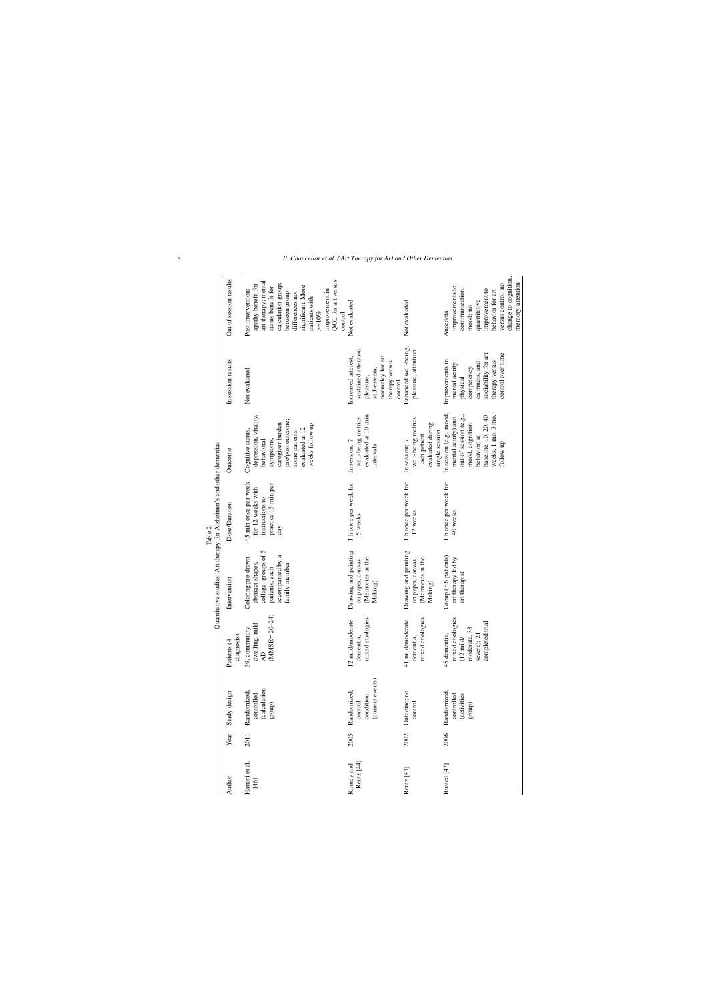|                          |      |                                                         |                                                                                                           | Quantitative studies: Art therapy for Alzheimer's and other dementias                                                 |                                                                                            |                                                                                                                                                                       |                                                                                                                                             |                                                                                                                                                                                                                                                        |
|--------------------------|------|---------------------------------------------------------|-----------------------------------------------------------------------------------------------------------|-----------------------------------------------------------------------------------------------------------------------|--------------------------------------------------------------------------------------------|-----------------------------------------------------------------------------------------------------------------------------------------------------------------------|---------------------------------------------------------------------------------------------------------------------------------------------|--------------------------------------------------------------------------------------------------------------------------------------------------------------------------------------------------------------------------------------------------------|
| Author                   | Year | Study design                                            | diagnosis)<br>Patients (#                                                                                 | Intervention                                                                                                          | Dose/Duration                                                                              | Outcome                                                                                                                                                               | In session results                                                                                                                          | Out of session results                                                                                                                                                                                                                                 |
| Hattori et al.<br>$[46]$ | 2011 | (calculation<br>Randomized,<br>controlled<br>group)     | $(MMSE = 20-24)$<br>dwelling, mild<br>39, community<br>$\Delta\!D$                                        | collage; groups of 5<br>accompanied by a<br>Coloring pre-drawn<br>abstract shapes,<br>family member<br>patients, each | 45 min once per week<br>practice 15 min per<br>for 12 weeks with<br>instructions to<br>day | depression, vitality,<br>pre/post outcome;<br>caregiver burden<br>weeks follow up<br>evaluated at 12<br>Cognitive status,<br>some patients<br>symptoms,<br>behavioral | Not evaluated                                                                                                                               | QOL for art versus<br>art therapy; mental<br>calculation group;<br>apathy benefit for<br>significant. More<br>status benefit for<br>improvement in<br>Post-intervention:<br>differences not<br>between group<br>patients with<br>$> = 10\%$<br>control |
| Rentz [44]<br>Kinney and | 2005 | (current events)<br>Randomized,<br>condition<br>control | mixed etiologies<br>12 mild/moderate<br>dementia,                                                         | Drawing and painting<br>(Memories in the<br>on paper, canvas<br>Making)                                               | 1 h once per week for<br>5 weeks                                                           | evaluated at 10 min<br>well-being metrics<br>In session: 7<br>intervals                                                                                               | sustained attention,<br>normalcy for art<br>Increased interest,<br>therapy versus<br>self-esteem,<br>pleasure,<br>control                   | Not evaluated                                                                                                                                                                                                                                          |
| Rentz [43]               | 2002 | Outcome; no<br>control                                  | mixed etiologies<br>41 mild/moderate<br>dementia,                                                         | Drawing and painting<br>(Memories in the<br>on paper, canvas<br>Making)                                               | 1 h once per week for<br>12 weeks                                                          | well-being metrics.<br>evaluated during<br>single session<br>Each patient<br>In session; 7                                                                            | Enhanced well-being,<br>pleasure, attention                                                                                                 | Not evaluated                                                                                                                                                                                                                                          |
| Rusted [47]              | 2006 | Randomized,<br>controlled<br>(activities<br>group)      | mixed etiologies<br>completed trial<br>moderate, 33<br>45 dementia,<br>severe); 21<br>$(12 \text{ midd})$ | Group ( $\sim$ 6 patients)<br>art therapy led by<br>art therapist                                                     | 1 h once per week for<br>40 weeks                                                          | In session (e.g., mood,<br>baseline, 10, 20, 40<br>out-of session (e.g.,<br>weeks, 1 mo. 3 mo.<br>mental acuity) and<br>mood, cognition,<br>behavior) at<br>follow up | sociability for art<br>control over time<br>Improvements in<br>therapy versus<br>mental acuity,<br>calmness, and<br>competency,<br>physical | change to cognition,<br>memory, attention<br>versus control; no<br>improvements to<br>communication,<br>improvement to<br>behavior for art<br>quantitative<br>mood; no<br>Anecdotal                                                                    |

Table 2<br>w for Alzheimer's and other dementias  $\Lambda$ rt th etudiae.

8 *B. Chancellor et al. / Art Therapy for AD and Other Dementias*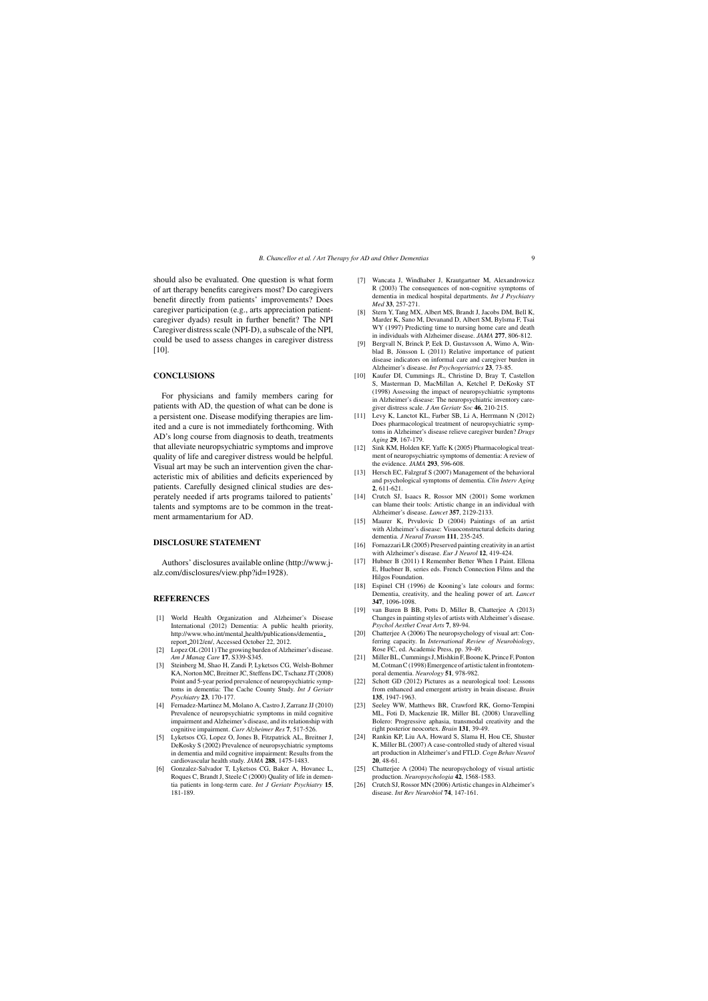should also be evaluated. One question is what form of art therapy benefits caregivers most? Do caregivers benefit directly from patients' improvements? Does caregiver participation (e.g., arts appreciation patientcaregiver dyads) result in further benefit? The NPI Caregiver distress scale (NPI-D), a subscale of the NPI, could be used to assess changes in caregiver distress [10].

#### **CONCLUSIONS**

For physicians and family members caring for patients with AD, the question of what can be done is a persistent one. Disease modifying therapies are limited and a cure is not immediately forthcoming. With AD's long course from diagnosis to death, treatments that alleviate neuropsychiatric symptoms and improve quality of life and caregiver distress would be helpful. Visual art may be such an intervention given the characteristic mix of abilities and deficits experienced by patients. Carefully designed clinical studies are desperately needed if arts programs tailored to patients' talents and symptoms are to be common in the treatment armamentarium for AD.

## **DISCLOSURE STATEMENT**

Authors' disclosures available online (http://www.jalz.com/disclosures/view.php?id=1928).

## **REFERENCES**

- [1] World Health Organization and Alzheimer's Disease International (2012) Dementia: A public health priority, http://www.who.int/mental [health/publications/dementia](http://www.who.int/mental_health/publications/dementia_report_2012/en/) report 2012/en/, Accessed October 22, 2012.
- [2] Lopez OL (2011) The growing burden of Alzheimer's disease. *Am J Manag Care* **17**, S339-S345.
- [3] Steinberg M, Shao H, Zandi P, Lyketsos CG, Welsh-Bohmer KA, Norton MC, Breitner JC, Steffens DC, Tschanz JT (2008) Point and 5-year period prevalence of neuropsychiatric symptoms in dementia: The Cache County Study. *Int J Geriatr Psychiatry* **23**, 170-177.
- [4] Fernadez-Martinez M, Molano A, Castro J, Zarranz JJ (2010) Prevalence of neuropsychiatric symptoms in mild cognitive impairment and Alzheimer's disease, and its relationship with cognitive impairment. *Curr Alzheimer Res* **7**, 517-526.
- [5] Lyketsos CG, Lopez O, Jones B, Fitzpatrick AL, Breitner J, DeKosky S (2002) Prevalence of neuropsychiatric symptoms in dementia and mild cognitive impairment: Results from the cardiovascular health study. *JAMA* **288**, 1475-1483.
- [6] Gonzalez-Salvador T, Lyketsos CG, Baker A, Hovanec L, Roques C, Brandt J, Steele C (2000) Quality of life in dementia patients in long-term care. *Int J Geriatr Psychiatry* **15**, 181-189.
- [7] Wancata J, Windhaber J, Krautgartner M, Alexandrowicz R (2003) The consequences of non-cognitive symptoms of dementia in medical hospital departments. *Int J Psychiatry Med* **33**, 257-271.
- [8] Stern Y, Tang MX, Albert MS, Brandt J, Jacobs DM, Bell K, Marder K, Sano M, Devanand D, Albert SM, Bylsma F, Tsai WY (1997) Predicting time to nursing home care and death in individuals with Alzheimer disease. *JAMA* **277**, 806-812.
- [9] Bergvall N, Brinck P, Eek D, Gustavsson A, Wimo A, Winblad B, Jönsson L  $(2011)$  Relative importance of patient disease indicators on informal care and caregiver burden in Alzheimer's disease. *Int Psychogeriatrics* **23**, 73-85.
- [10] Kaufer DI, Cummings JL, Christine D, Bray T, Castellon S, Masterman D, MacMillan A, Ketchel P, DeKosky ST (1998) Assessing the impact of neuropsychiatric symptoms in Alzheimer's disease: The neuropsychiatric inventory caregiver distress scale. *J Am Geriatr Soc* **46**, 210-215.
- [11] Levy K, Lanctot KL, Farber SB, Li A, Herrmann N (2012) Does pharmacological treatment of neuropsychiatric symptoms in Alzheimer's disease relieve caregiver burden? *Drugs Aging* **29**, 167-179.
- [12] Sink KM, Holden KF, Yaffe K (2005) Pharmacological treatment of neuropsychiatric symptoms of dementia: A review of the evidence. *JAMA* **293**, 596-608.
- [13] Hersch EC, Falzgraf S (2007) Management of the behavioral and psychological symptoms of dementia. *Clin Interv Aging* **2**, 611-621.
- [14] Crutch SJ, Isaacs R, Rossor MN (2001) Some workmen can blame their tools: Artistic change in an individual with Alzheimer's disease. *Lancet* **357**, 2129-2133.
- [15] Maurer K, Prvulovic D (2004) Paintings of an artist with Alzheimer's disease: Visuoconstructural deficits during dementia. *J Neural Transm* **111**, 235-245.
- [16] Fornazzari LR (2005) Preserved painting creativity in an artist with Alzheimer's disease. *Eur J Neurol* **12**, 419-424.
- [\[17\] Hubner B \(2011\) I Remember Be](http://www.j-alz.com/disclosures/view.php?id=1928)tter When I Paint. Ellena E, Huebner B, series eds. French Connection Films and the Hilgos Foundation.
- [18] Espinel CH (1996) de Kooning's late colours and forms: Dementia, creativity, and the healing power of art. *Lancet* **347**, 1096-1098.
- [19] van Buren B BB, Potts D, Miller B, Chatterjee A (2013) Changes in painting styles of artists with Alzheimer's disease. *Psychol Aesthet Creat Arts* **7**, 89-94.
- [20] Chatterjee A (2006) The neuropsychology of visual art: Conferring capacity. In *International Review of Neurobiology*, Rose FC, ed. Academic Press, pp. 39-49.
- [21] Miller BL, Cummings J, Mishkin F, Boone K, Prince F, Ponton M, Cotman C (1998) Emergence of artistic talent in frontotemporal dementia. *Neurology* **51**, 978-982.
- [22] Schott GD (2012) Pictures as a neurological tool: Lessons from enhanced and emergent artistry in brain disease. *Brain* **135**, 1947-1963.
- [23] Seeley WW, Matthews BR, Crawford RK, Gorno-Tempini ML, Foti D, Mackenzie IR, Miller BL (2008) Unravelling Bolero: Progressive aphasia, transmodal creativity and the right posterior neocortex. *Brain* **131**, 39-49.
- [24] Rankin KP, Liu AA, Howard S, Slama H, Hou CE, Shuster K, Miller BL (2007) A case-controlled study of altered visual art production in Alzheimer's and FTLD. *Cogn Behav Neurol* **20**, 48-61.
- [25] Chatterjee A (2004) The neuropsychology of visual artistic production. *Neuropsychologia* **42**, 1568-1583.
- [26] Crutch SJ, Rossor MN (2006) Artistic changes in Alzheimer's disease. *Int Rev Neurobiol* **74**, 147-161.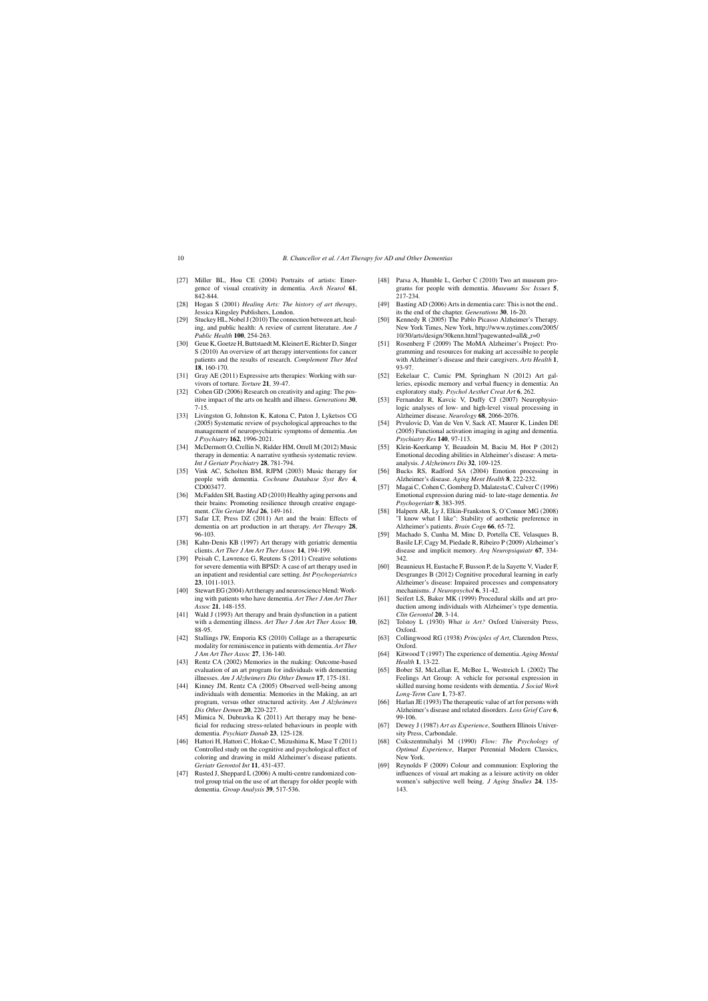- [27] Miller BL, Hou CE (2004) Portraits of artists: Emergence of visual creativity in dementia. *Arch Neurol* **61**, 842-844.
- [28] Hogan S (2001) *Healing Arts: The history of art therapy*, Jessica Kingsley Publishers, London.
- [29] Stuckey HL, Nobel J (2010) The connection between art, healing, and public health: A review of current literature. *Am J Public Health* **100**, 254-263.
- [30] Geue K, Goetze H, Buttstaedt M, Kleinert E, Richter D, Singer S (2010) An overview of art therapy interventions for cancer patients and the results of research. *Complement Ther Med* **18**, 160-170.
- [31] Gray AE (2011) Expressive arts therapies: Working with survivors of torture. *Torture* **21**, 39-47.
- [32] Cohen GD (2006) Research on creativity and aging: The positive impact of the arts on health and illness. *Generations* **30**, 7-15.
- [33] Livingston G, Johnston K, Katona C, Paton J, Lyketsos CG (2005) Systematic review of psychological approaches to the management of neuropsychiatric symptoms of dementia. *Am J Psychiatry* **162**, 1996-2021.
- [34] McDermott O, Crellin N, Ridder HM, Orrell M (2012) Music therapy in dementia: A narrative synthesis systematic review. *Int J Geriatr Psychiatry* **28**, 781-794.
- [35] Vink AC, Scholten BM, RJPM (2003) Music therapy for people with dementia. *Cochrane Database Syst Rev* **4**, CD003477.
- [36] McFadden SH, Basting AD (2010) Healthy aging persons and their brains: Promoting resilience through creative engagement. *Clin Geriatr Med* **26**, 149-161.
- [37] Safar LT, Press DZ (2011) Art and the brain: Effects of dementia on art production in art therapy. *Art Therapy* **28**, 96-103.
- [38] Kahn-Denis KB (1997) Art therapy with geriatric dementia clients. *Art Ther J Am Art Ther Assoc* **14**, 194-199.
- [39] Peisah C, Lawrence G, Reutens S (2011) Creative solutions for severe dementia with BPSD: A case of art therapy used in an inpatient and residential care setting. *Int Psychogeriatrics* **23**, 1011-1013.
- [40] Stewart EG (2004) Art therapy and neuroscience blend: Working with patients who have dementia. *Art Ther J Am Art Ther Assoc* **21**, 148-155.
- [41] Wald J (1993) Art therapy and brain dysfunction in a patient with a dementing illness. *Art Ther J Am Art Ther Assoc* **10**, 88-95.
- [42] Stallings JW, Emporia KS (2010) Collage as a therapeurtic modality for reminiscence in patients with dementia. *Art Ther J Am Art Ther Assoc* **27**, 136-140.
- [43] Rentz CA (2002) Memories in the making: Outcome-based evaluation of an art program for individuals with dementing illnesses. *Am J Alzheimers Dis Other Demen* **17**, 175-181.
- [44] Kinney JM, Rentz CA (2005) Observed well-being among individuals with dementia: Memories in the Making, an art program, versus other structured activity. *Am J Alzheimers Dis Other Demen* **20**, 220-227.
- [45] Mimica N, Dubravka K (2011) Art therapy may be beneficial for reducing stress-related behaviours in people with dementia. *Psychiatr Danub* **23**, 125-128.
- [46] Hattori H, Hattori C, Hokao C, Mizushima K, Mase T (2011) Controlled study on the cognitive and psychological effect of coloring and drawing in mild Alzheimer's disease patients. *Geriatr Gerontol Int* **11**, 431-437.
- [47] Rusted J, Sheppard L (2006) A multi-centre randomized control group trial on the use of art therapy for older people with dementia. *Group Analysis* **39**, 517-536.
- [48] Parsa A, Humble L, Gerber C (2010) Two art museum programs for people with dementia. *Museums Soc Issues* **5**, 217-234.
- [49] Basting AD (2006) Arts in dementia care: This is not the end.. its the end of the chapter. *Generations* **30**, 16-20.
- [50] Kennedy R (2005) The Pablo Picasso Alzheimer's Therapy. New York Times, New York, [http://www.nytimes.com/2005/](http://www.nytimes.com/2005/10/30/arts/design/30kenn.html?pagewanted=all&_r=0) 10/30/arts/design/30kenn.html?pagewanted=all& r=0
- [51] Rosenberg F (2009) The MoMA Alzheimer's Project: Programming and resources for making art accessible to people with Alzheimer's disease and their caregivers. *Arts Health* **1**, 93-97.
- [52] Eekelaar C, Camic PM, Springham N (2012) Art galleries, episodic memory and verbal fluency in dementia: An exploratory study. *Psychol Aesthet Creat Art* **6**, 262.
- [53] Fernandez R, Kavcic V, Duffy CJ (2007) Neurophysiologic analyses of low- and high-level visual processing in Alzheimer disease. *Neurology* **68**, 2066-2076.
- [54] Prvulovic D, Van de Ven V, Sack AT, Maurer K, Linden DE (2005) Functional activation imaging in aging and dementia. *Psychiatry Res* **140**, 97-113.
- [55] Klein-Koerkamp Y, Beaudoin M, Baciu M, Hot P (2012) Emotional decoding abilities in Alzheimer's disease: A metaanalysis. *J Alzheimers Dis* **32**, 109-125.
- [56] Bucks RS, Radford SA (2004) Emotion processing in Alzheimer's disease. *Aging Ment Health* **8**, 222-232.
- [57] Magai C, Cohen C, Gomberg D, Malatesta C, Culver C (1996) Emotional expression during mid- to late-stage dementia. *Int Psychogeriatr* **8**, 383-395.
- [58] Halpern AR, Ly J, Elkin-Frankston S, O'Connor MG (2008) "I know what I like": Stability of aesthetic preference in Alzheimer's patients. *Brain Cogn* **66**, 65-72.
- [59] Machado S, Cunha M, Minc D, Portella CE, Velasques B, Basile LF, Cagy M, Piedade R, Ribeiro P (2009) Alzheimer's disease and implicit memory. *Arq Neuropsiquiatr* **67**, 334- 342.
- [60] Beaunieux H, Eustache F, Busson P, de la Sayette V, Viader F, Desgranges B (2012) Cognitive procedural learning in early Alzheimer's disease: Impaired processes and compensatory mechanisms. *J Neuropsychol* **6**, 31-42.
- [61] Seifert LS, Baker MK (1999) Procedural skills and art production among individuals with Alzheimer's type dementia. *Clin Gerontol* **20**, 3-14.
- [62] Tolstoy L (1930) *What is Art?* Oxford University Press, Oxford.
- [63] Collingwood RG (1938) *Principles of Art*, Clarendon Press, Oxford.
- [64] Kitwood T (1997) The experience of dementia. *Aging Mental Health* **1**, 13-22.
- [65] Bober SJ, McLellan E, McBee L, Westreich L (2002) The Feelings Art Group: A vehicle for personal expression in skilled nursing home residents with dementia. *J Social Work Long-Term Care* **1**, 73-87.
- [66] Harlan JE (1993) The therapeutic value of art for persons with Alzheimer's disease and related disorders. *Loss Grief Care* **6**, 99-106.
- [67] Dewey J (1987) *Art as Experience*, Southern Illinois University Press, Carbondale.
- [68] Csikszentmihalyi M (1990) *Flow: The Psychology of Optimal Experience*, Harper Perennial Modern Classics, New York.
- [69] Reynolds F (2009) Colour and communion: Exploring the influences of visual art making as a leisure activity on older women's subjective well being. *J Aging Studies* **24**, 135- 143.